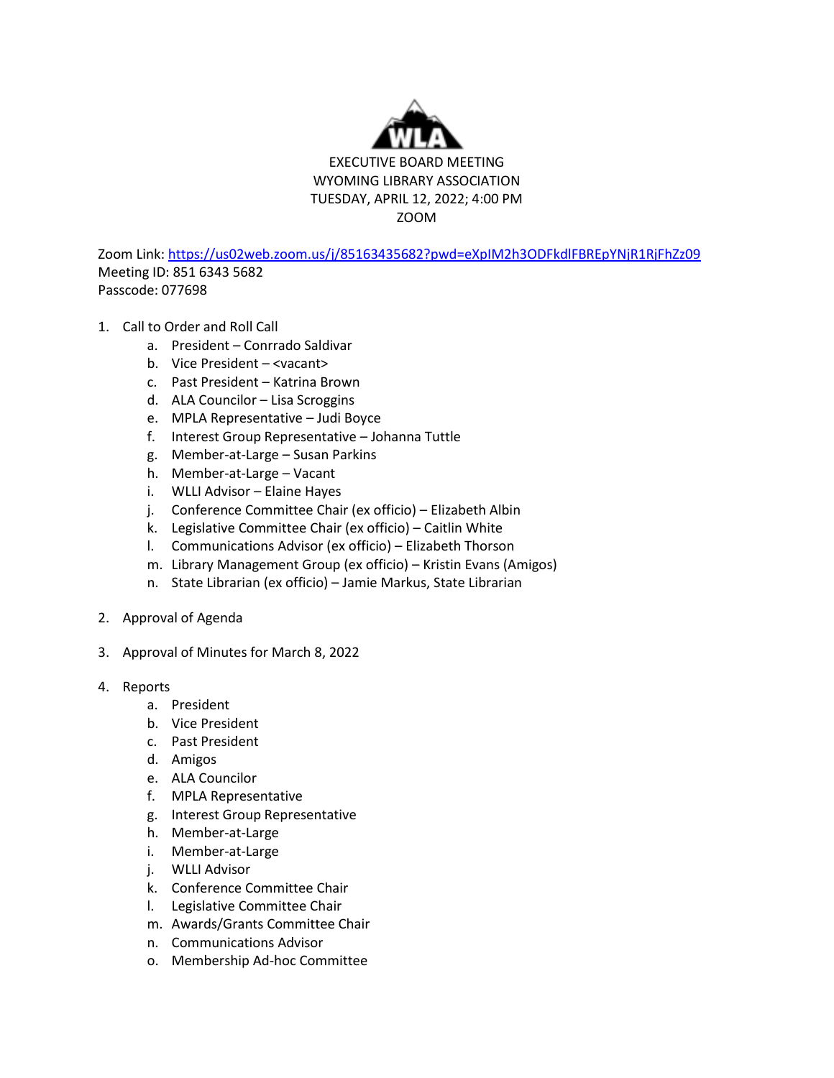

Zoom Link[: https://us02web.zoom.us/j/85163435682?pwd=eXpIM2h3ODFkdlFBREpYNjR1RjFhZz09](https://us02web.zoom.us/j/85163435682?pwd=eXpIM2h3ODFkdlFBREpYNjR1RjFhZz09) Meeting ID: 851 6343 5682 Passcode: 077698

- 1. Call to Order and Roll Call
	- a. President Conrrado Saldivar
	- b. Vice President <vacant>
	- c. Past President Katrina Brown
	- d. ALA Councilor Lisa Scroggins
	- e. MPLA Representative Judi Boyce
	- f. Interest Group Representative Johanna Tuttle
	- g. Member-at-Large Susan Parkins
	- h. Member-at-Large Vacant
	- i. WLLI Advisor Elaine Hayes
	- j. Conference Committee Chair (ex officio) Elizabeth Albin
	- k. Legislative Committee Chair (ex officio) Caitlin White
	- l. Communications Advisor (ex officio) Elizabeth Thorson
	- m. Library Management Group (ex officio) Kristin Evans (Amigos)
	- n. State Librarian (ex officio) Jamie Markus, State Librarian
- 2. Approval of Agenda
- 3. Approval of Minutes for March 8, 2022
- 4. Reports
	- a. President
	- b. Vice President
	- c. Past President
	- d. Amigos
	- e. ALA Councilor
	- f. MPLA Representative
	- g. Interest Group Representative
	- h. Member-at-Large
	- i. Member-at-Large
	- j. WLLI Advisor
	- k. Conference Committee Chair
	- l. Legislative Committee Chair
	- m. Awards/Grants Committee Chair
	- n. Communications Advisor
	- o. Membership Ad-hoc Committee